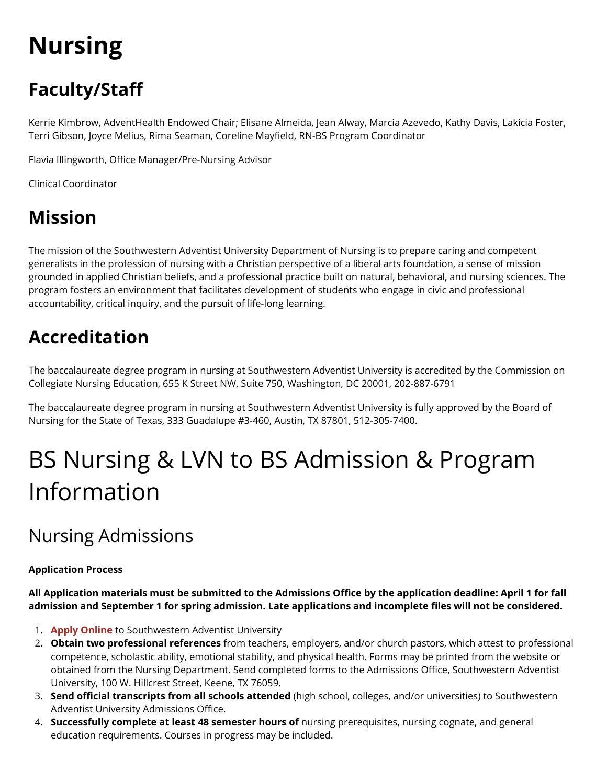# **Nursing**

## **Faculty/Staff**

Kerrie Kimbrow, AdventHealth Endowed Chair; Elisane Almeida, Jean Alway, Marcia Azevedo, Kathy Davis, Lakicia Foster, Terri Gibson, Joyce Melius, Rima Seaman, Coreline Mayfield, RN-BS Program Coordinator

Flavia Illingworth, Office Manager/Pre-Nursing Advisor

Clinical Coordinator

### **Mission**

The mission of the Southwestern Adventist University Department of Nursing is to prepare caring and competent generalists in the profession of nursing with a Christian perspective of a liberal arts foundation, a sense of mission grounded in applied Christian beliefs, and a professional practice built on natural, behavioral, and nursing sciences. The program fosters an environment that facilitates development of students who engage in civic and professional accountability, critical inquiry, and the pursuit of life-long learning.

## **Accreditation**

The baccalaureate degree program in nursing at Southwestern Adventist University is accredited by the Commission on Collegiate Nursing Education, 655 K Street NW, Suite 750, Washington, DC 20001, 202-887-6791

The baccalaureate degree program in nursing at Southwestern Adventist University is fully approved by the Board of Nursing for the State of Texas, 333 Guadalupe #3-460, Austin, TX 87801, 512-305-7400.

## BS Nursing & LVN to BS Admission & Program Information

## Nursing Admissions

### **Application Process**

**All Application materials must be submitted to the Admissions Office by the application deadline: April 1 for fall admission and September 1 for spring admission. Late applications and incomplete files will not be considered.** 

- 1. **[Apply Online](https://forms.swau.edu/admissions)** to Southwestern Adventist University
- 2. **Obtain two professional references** from teachers, employers, and/or church pastors, which attest to professional competence, scholastic ability, emotional stability, and physical health. Forms may be printed from the website or obtained from the Nursing Department. Send completed forms to the Admissions Office, Southwestern Adventist University, 100 W. Hillcrest Street, Keene, TX 76059.
- 3. **Send official transcripts from all schools attended** (high school, colleges, and/or universities) to Southwestern Adventist University Admissions Office.
- 4. **Successfully complete at least 48 semester hours of** nursing prerequisites, nursing cognate, and general education requirements. Courses in progress may be included.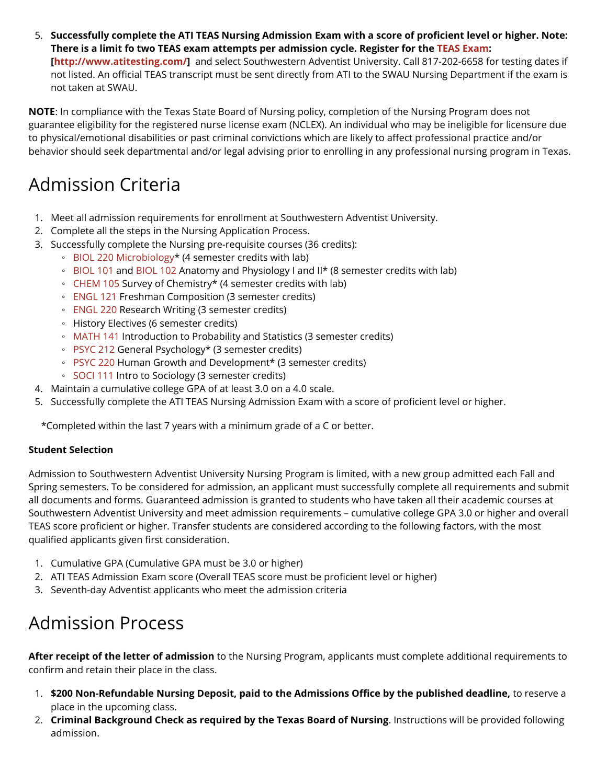5. **Successfully complete the ATI TEAS Nursing Admission Exam with a score of proficient level or higher. Note: There is a limit fo two TEAS exam attempts per admission cycle. Register for the [TEAS Exam](http://www.atitesting.com/): [[http://www.atitesting.com/\]](http://www.atitesting.com/)** and select Southwestern Adventist University. Call 817-202-6658 for testing dates if not listed. An official TEAS transcript must be sent directly from ATI to the SWAU Nursing Department if the exam is

not taken at SWAU.

**NOTE**: In compliance with the Texas State Board of Nursing policy, completion of the Nursing Program does not guarantee eligibility for the registered nurse license exam (NCLEX). An individual who may be ineligible for licensure due to physical/emotional disabilities or past criminal convictions which are likely to affect professional practice and/or behavior should seek departmental and/or legal advising prior to enrolling in any professional nursing program in Texas.

### Admission Criteria

- 1. Meet all admission requirements for enrollment at Southwestern Adventist University.
- 2. Complete all the steps in the Nursing Application Process.
- 3. Successfully complete the Nursing pre-requisite courses (36 credits):
	- [BIOL 220 Microbiology\\*](https://catalog.swau.edu/biological-sciences/biol-220) (4 semester credits with lab)
	- [BIOL 101](https://catalog.swau.edu/biological-sciences/biol-101) and [BIOL 102](https://catalog.swau.edu/biological-sciences/biol-102) Anatomy and Physiology I and II\* (8 semester credits with lab)
	- [CHEM 105](https://catalog.swau.edu/chemistry-and-physics/chem-105) Survey of Chemistry\* (4 semester credits with lab)
	- [ENGL 121](https://catalog.swau.edu/english/engl-121) Freshman Composition (3 semester credits)
	- [ENGL 220](https://catalog.swau.edu/english/engl-220) Research Writing (3 semester credits)
	- History Electives (6 semester credits)
	- [MATH 141](https://catalog.swau.edu/mathematics/math-141) Introduction to Probability and Statistics (3 semester credits)
	- [PSYC 212](https://catalog.swau.edu/psychology/psyc-212) General Psychology\* (3 semester credits)
	- [PSYC 220](https://catalog.swau.edu/psychology/psyc-220) Human Growth and Development\* (3 semester credits)
	- [SOCI 111](https://catalog.swau.edu/history-social-science/soci-111) Intro to Sociology (3 semester credits)
- 4. Maintain a cumulative college GPA of at least 3.0 on a 4.0 scale.
- 5. Successfully complete the ATI TEAS Nursing Admission Exam with a score of proficient level or higher.

\*Completed within the last 7 years with a minimum grade of a C or better.

### **Student Selection**

Admission to Southwestern Adventist University Nursing Program is limited, with a new group admitted each Fall and Spring semesters. To be considered for admission, an applicant must successfully complete all requirements and submit all documents and forms. Guaranteed admission is granted to students who have taken all their academic courses at Southwestern Adventist University and meet admission requirements – cumulative college GPA 3.0 or higher and overall TEAS score proficient or higher. Transfer students are considered according to the following factors, with the most qualified applicants given first consideration.

- 1. Cumulative GPA (Cumulative GPA must be 3.0 or higher)
- 2. ATI TEAS Admission Exam score (Overall TEAS score must be proficient level or higher)
- 3. Seventh-day Adventist applicants who meet the admission criteria

## Admission Process

**After receipt of the letter of admission** to the Nursing Program, applicants must complete additional requirements to confirm and retain their place in the class.

- 1. **\$200 Non-Refundable Nursing Deposit, paid to the Admissions Office by the published deadline,** to reserve a place in the upcoming class.
- 2. **Criminal Background Check as required by the Texas Board of Nursing**. Instructions will be provided following admission.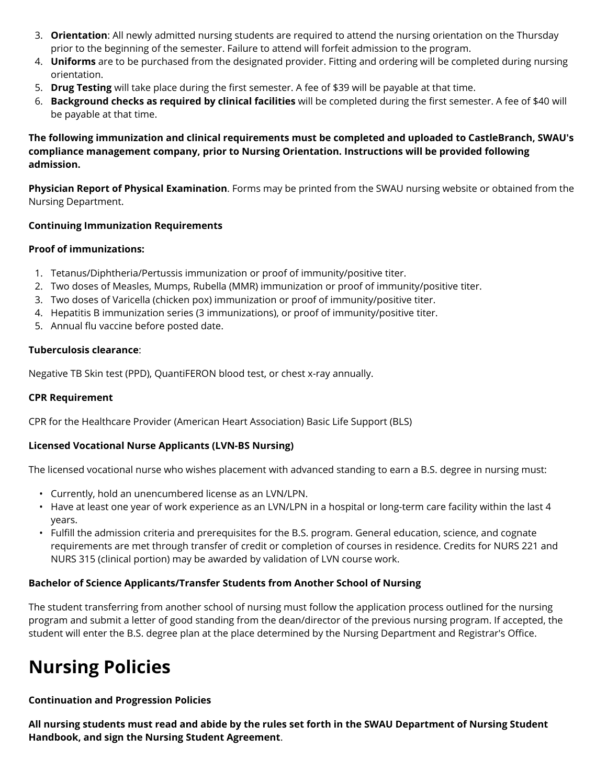- 3. **Orientation**: All newly admitted nursing students are required to attend the nursing orientation on the Thursday prior to the beginning of the semester. Failure to attend will forfeit admission to the program.
- 4. **Uniforms** are to be purchased from the designated provider. Fitting and ordering will be completed during nursing orientation.
- 5. **Drug Testing** will take place during the first semester. A fee of \$39 will be payable at that time.
- 6. **Background checks as required by clinical facilities** will be completed during the first semester. A fee of \$40 will be payable at that time.

**The following immunization and clinical requirements must be completed and uploaded to CastleBranch, SWAU's compliance management company, prior to Nursing Orientation. Instructions will be provided following admission.** 

**Physician Report of Physical Examination**. Forms may be printed from the SWAU nursing website or obtained from the Nursing Department.

### **Continuing Immunization Requirements**

#### **Proof of immunizations:**

- 1. Tetanus/Diphtheria/Pertussis immunization or proof of immunity/positive titer.
- 2. Two doses of Measles, Mumps, Rubella (MMR) immunization or proof of immunity/positive titer.
- 3. Two doses of Varicella (chicken pox) immunization or proof of immunity/positive titer.
- 4. Hepatitis B immunization series (3 immunizations), or proof of immunity/positive titer.
- 5. Annual flu vaccine before posted date.

#### **Tuberculosis clearance**:

Negative TB Skin test (PPD), QuantiFERON blood test, or chest x-ray annually.

#### **CPR Requirement**

CPR for the Healthcare Provider (American Heart Association) Basic Life Support (BLS)

#### **Licensed Vocational Nurse Applicants (LVN-BS Nursing)**

The licensed vocational nurse who wishes placement with advanced standing to earn a B.S. degree in nursing must:

- Currently, hold an unencumbered license as an LVN/LPN.
- Have at least one year of work experience as an LVN/LPN in a hospital or long-term care facility within the last 4 years.
- Fulfill the admission criteria and prerequisites for the B.S. program. General education, science, and cognate requirements are met through transfer of credit or completion of courses in residence. Credits for NURS 221 and NURS 315 (clinical portion) may be awarded by validation of LVN course work.

### **Bachelor of Science Applicants/Transfer Students from Another School of Nursing**

The student transferring from another school of nursing must follow the application process outlined for the nursing program and submit a letter of good standing from the dean/director of the previous nursing program. If accepted, the student will enter the B.S. degree plan at the place determined by the Nursing Department and Registrar's Office.

### **Nursing Policies**

**Continuation and Progression Policies** 

**All nursing students must read and abide by the rules set forth in the SWAU Department of Nursing Student Handbook, and sign the Nursing Student Agreement**.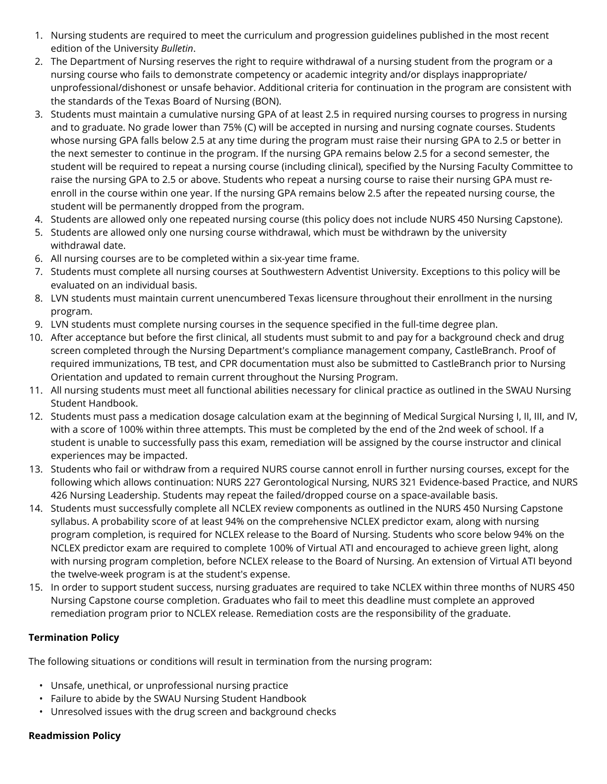- 1. Nursing students are required to meet the curriculum and progression guidelines published in the most recent edition of the University *Bulletin*.
- 2. The Department of Nursing reserves the right to require withdrawal of a nursing student from the program or a nursing course who fails to demonstrate competency or academic integrity and/or displays inappropriate/ unprofessional/dishonest or unsafe behavior. Additional criteria for continuation in the program are consistent with the standards of the Texas Board of Nursing (BON).
- 3. Students must maintain a cumulative nursing GPA of at least 2.5 in required nursing courses to progress in nursing and to graduate. No grade lower than 75% (C) will be accepted in nursing and nursing cognate courses. Students whose nursing GPA falls below 2.5 at any time during the program must raise their nursing GPA to 2.5 or better in the next semester to continue in the program. If the nursing GPA remains below 2.5 for a second semester, the student will be required to repeat a nursing course (including clinical), specified by the Nursing Faculty Committee to raise the nursing GPA to 2.5 or above. Students who repeat a nursing course to raise their nursing GPA must reenroll in the course within one year. If the nursing GPA remains below 2.5 after the repeated nursing course, the student will be permanently dropped from the program.
- 4. Students are allowed only one repeated nursing course (this policy does not include NURS 450 Nursing Capstone).
- 5. Students are allowed only one nursing course withdrawal, which must be withdrawn by the university withdrawal date.
- 6. All nursing courses are to be completed within a six-year time frame.
- 7. Students must complete all nursing courses at Southwestern Adventist University. Exceptions to this policy will be evaluated on an individual basis.
- 8. LVN students must maintain current unencumbered Texas licensure throughout their enrollment in the nursing program.
- 9. LVN students must complete nursing courses in the sequence specified in the full-time degree plan.
- 10. After acceptance but before the first clinical, all students must submit to and pay for a background check and drug screen completed through the Nursing Department's compliance management company, CastleBranch. Proof of required immunizations, TB test, and CPR documentation must also be submitted to CastleBranch prior to Nursing Orientation and updated to remain current throughout the Nursing Program.
- 11. All nursing students must meet all functional abilities necessary for clinical practice as outlined in the SWAU Nursing Student Handbook.
- 12. Students must pass a medication dosage calculation exam at the beginning of Medical Surgical Nursing I, II, III, and IV, with a score of 100% within three attempts. This must be completed by the end of the 2nd week of school. If a student is unable to successfully pass this exam, remediation will be assigned by the course instructor and clinical experiences may be impacted.
- 13. Students who fail or withdraw from a required NURS course cannot enroll in further nursing courses, except for the following which allows continuation: NURS 227 Gerontological Nursing, NURS 321 Evidence-based Practice, and NURS 426 Nursing Leadership. Students may repeat the failed/dropped course on a space-available basis.
- 14. Students must successfully complete all NCLEX review components as outlined in the NURS 450 Nursing Capstone syllabus. A probability score of at least 94% on the comprehensive NCLEX predictor exam, along with nursing program completion, is required for NCLEX release to the Board of Nursing. Students who score below 94% on the NCLEX predictor exam are required to complete 100% of Virtual ATI and encouraged to achieve green light, along with nursing program completion, before NCLEX release to the Board of Nursing. An extension of Virtual ATI beyond the twelve-week program is at the student's expense.
- 15. In order to support student success, nursing graduates are required to take NCLEX within three months of NURS 450 Nursing Capstone course completion. Graduates who fail to meet this deadline must complete an approved remediation program prior to NCLEX release. Remediation costs are the responsibility of the graduate.

### **Termination Policy**

The following situations or conditions will result in termination from the nursing program:

- Unsafe, unethical, or unprofessional nursing practice
- Failure to abide by the SWAU Nursing Student Handbook
- Unresolved issues with the drug screen and background checks

### **Readmission Policy**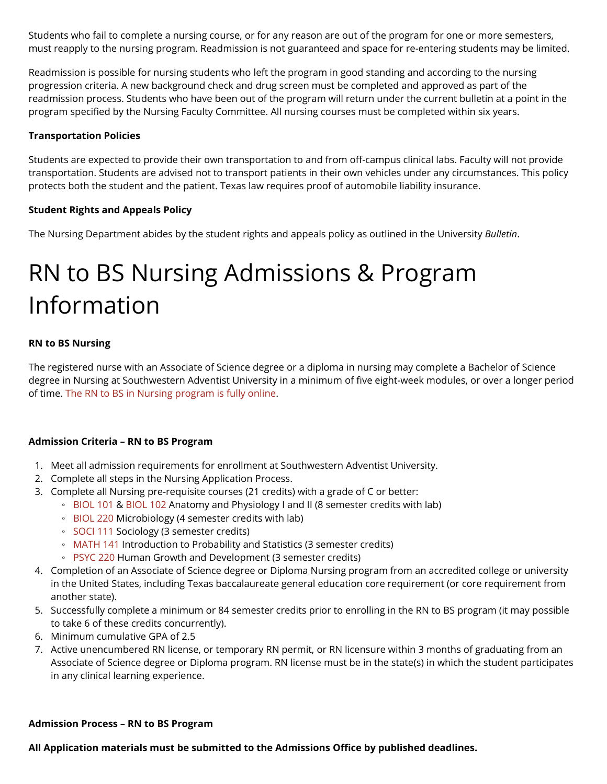Students who fail to complete a nursing course, or for any reason are out of the program for one or more semesters, must reapply to the nursing program. Readmission is not guaranteed and space for re-entering students may be limited.

Readmission is possible for nursing students who left the program in good standing and according to the nursing progression criteria. A new background check and drug screen must be completed and approved as part of the readmission process. Students who have been out of the program will return under the current bulletin at a point in the program specified by the Nursing Faculty Committee. All nursing courses must be completed within six years.

### **Transportation Policies**

Students are expected to provide their own transportation to and from off-campus clinical labs. Faculty will not provide transportation. Students are advised not to transport patients in their own vehicles under any circumstances. This policy protects both the student and the patient. Texas law requires proof of automobile liability insurance.

### **Student Rights and Appeals Policy**

The Nursing Department abides by the student rights and appeals policy as outlined in the University *Bulletin*.

## RN to BS Nursing Admissions & Program Information

### **RN to BS Nursing**

The registered nurse with an Associate of Science degree or a diploma in nursing may complete a Bachelor of Science degree in Nursing at Southwestern Adventist University in a minimum of five eight-week modules, or over a longer period of time. [The RN to BS in Nursing program is fully online](https://www.swau.edu/online/nursing).

#### **Admission Criteria – RN to BS Program**

- 1. Meet all admission requirements for enrollment at Southwestern Adventist University.
- 2. Complete all steps in the Nursing Application Process.
- 3. Complete all Nursing pre-requisite courses (21 credits) with a grade of C or better:
	- [BIOL 101](https://catalog.swau.edu/biological-sciences/biol-101) & [BIOL 102](https://catalog.swau.edu/biological-sciences/biol-102) Anatomy and Physiology I and II (8 semester credits with lab)
	- [BIOL 220](https://catalog.swau.edu/biological-sciences/biol-220) Microbiology (4 semester credits with lab)
	- [SOCI 111](https://catalog.swau.edu/history-social-science/soci-111) Sociology (3 semester credits)
	- [MATH 141](https://catalog.swau.edu/mathematics/math-141) Introduction to Probability and Statistics (3 semester credits)
	- [PSYC 220](https://catalog.swau.edu/psychology/psyc-220) Human Growth and Development (3 semester credits)
- 4. Completion of an Associate of Science degree or Diploma Nursing program from an accredited college or university in the United States, including Texas baccalaureate general education core requirement (or core requirement from another state).
- 5. Successfully complete a minimum or 84 semester credits prior to enrolling in the RN to BS program (it may possible to take 6 of these credits concurrently).
- 6. Minimum cumulative GPA of 2.5
- 7. Active unencumbered RN license, or temporary RN permit, or RN licensure within 3 months of graduating from an Associate of Science degree or Diploma program. RN license must be in the state(s) in which the student participates in any clinical learning experience.

#### **Admission Process – RN to BS Program**

#### **All Application materials must be submitted to the Admissions Office by published deadlines.**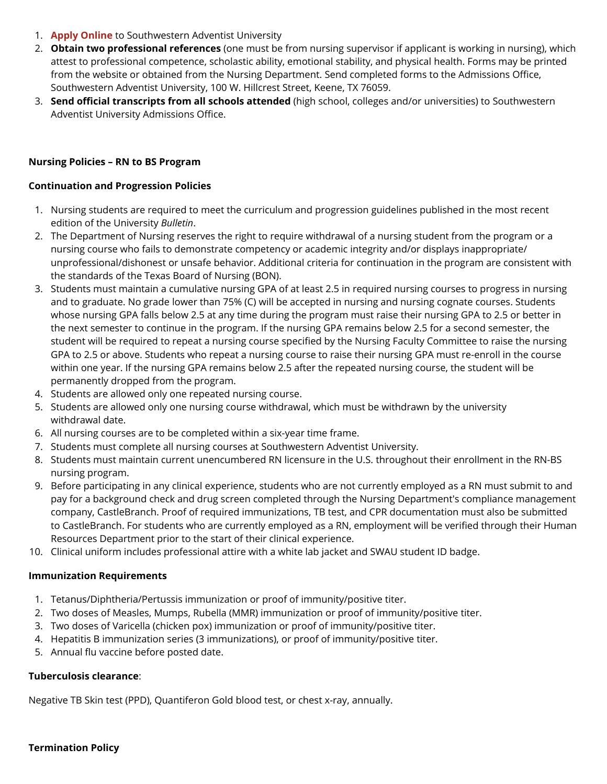- 1. **[Apply Online](https://forms.swau.edu/admissions)** to Southwestern Adventist University
- 2. **Obtain two professional references** (one must be from nursing supervisor if applicant is working in nursing), which attest to professional competence, scholastic ability, emotional stability, and physical health. Forms may be printed from the website or obtained from the Nursing Department. Send completed forms to the Admissions Office, Southwestern Adventist University, 100 W. Hillcrest Street, Keene, TX 76059.
- 3. **Send official transcripts from all schools attended** (high school, colleges and/or universities) to Southwestern Adventist University Admissions Office.

#### **Nursing Policies – RN to BS Program**

#### **Continuation and Progression Policies**

- 1. Nursing students are required to meet the curriculum and progression guidelines published in the most recent edition of the University *Bulletin*.
- 2. The Department of Nursing reserves the right to require withdrawal of a nursing student from the program or a nursing course who fails to demonstrate competency or academic integrity and/or displays inappropriate/ unprofessional/dishonest or unsafe behavior. Additional criteria for continuation in the program are consistent with the standards of the Texas Board of Nursing (BON).
- 3. Students must maintain a cumulative nursing GPA of at least 2.5 in required nursing courses to progress in nursing and to graduate. No grade lower than 75% (C) will be accepted in nursing and nursing cognate courses. Students whose nursing GPA falls below 2.5 at any time during the program must raise their nursing GPA to 2.5 or better in the next semester to continue in the program. If the nursing GPA remains below 2.5 for a second semester, the student will be required to repeat a nursing course specified by the Nursing Faculty Committee to raise the nursing GPA to 2.5 or above. Students who repeat a nursing course to raise their nursing GPA must re-enroll in the course within one year. If the nursing GPA remains below 2.5 after the repeated nursing course, the student will be permanently dropped from the program.
- 4. Students are allowed only one repeated nursing course.
- 5. Students are allowed only one nursing course withdrawal, which must be withdrawn by the university withdrawal date.
- 6. All nursing courses are to be completed within a six-year time frame.
- 7. Students must complete all nursing courses at Southwestern Adventist University.
- 8. Students must maintain current unencumbered RN licensure in the U.S. throughout their enrollment in the RN-BS nursing program.
- 9. Before participating in any clinical experience, students who are not currently employed as a RN must submit to and pay for a background check and drug screen completed through the Nursing Department's compliance management company, CastleBranch. Proof of required immunizations, TB test, and CPR documentation must also be submitted to CastleBranch. For students who are currently employed as a RN, employment will be verified through their Human Resources Department prior to the start of their clinical experience.
- 10. Clinical uniform includes professional attire with a white lab jacket and SWAU student ID badge.

#### **Immunization Requirements**

- 1. Tetanus/Diphtheria/Pertussis immunization or proof of immunity/positive titer.
- 2. Two doses of Measles, Mumps, Rubella (MMR) immunization or proof of immunity/positive titer.
- 3. Two doses of Varicella (chicken pox) immunization or proof of immunity/positive titer.
- 4. Hepatitis B immunization series (3 immunizations), or proof of immunity/positive titer.
- 5. Annual flu vaccine before posted date.

#### **Tuberculosis clearance**:

Negative TB Skin test (PPD), Quantiferon Gold blood test, or chest x-ray, annually.

#### **Termination Policy**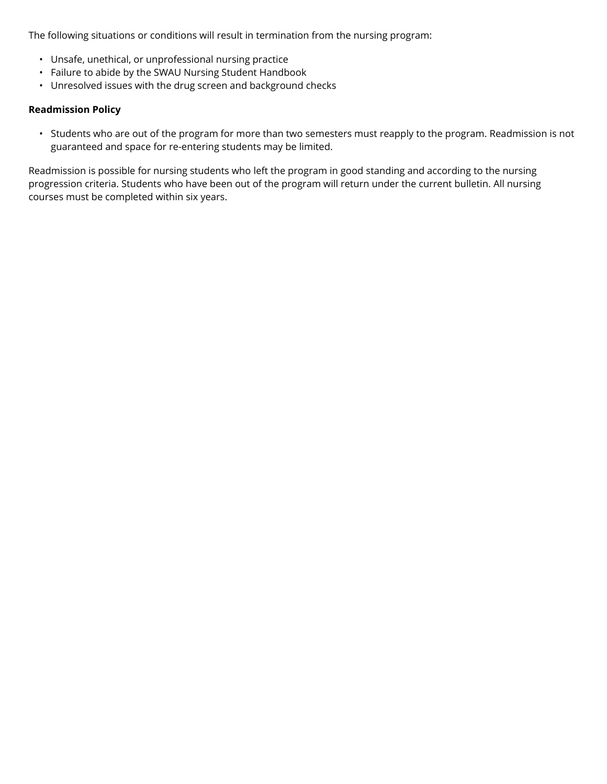The following situations or conditions will result in termination from the nursing program:

- Unsafe, unethical, or unprofessional nursing practice
- Failure to abide by the SWAU Nursing Student Handbook
- Unresolved issues with the drug screen and background checks

#### **Readmission Policy**

• Students who are out of the program for more than two semesters must reapply to the program. Readmission is not guaranteed and space for re-entering students may be limited.

Readmission is possible for nursing students who left the program in good standing and according to the nursing progression criteria. Students who have been out of the program will return under the current bulletin. All nursing courses must be completed within six years.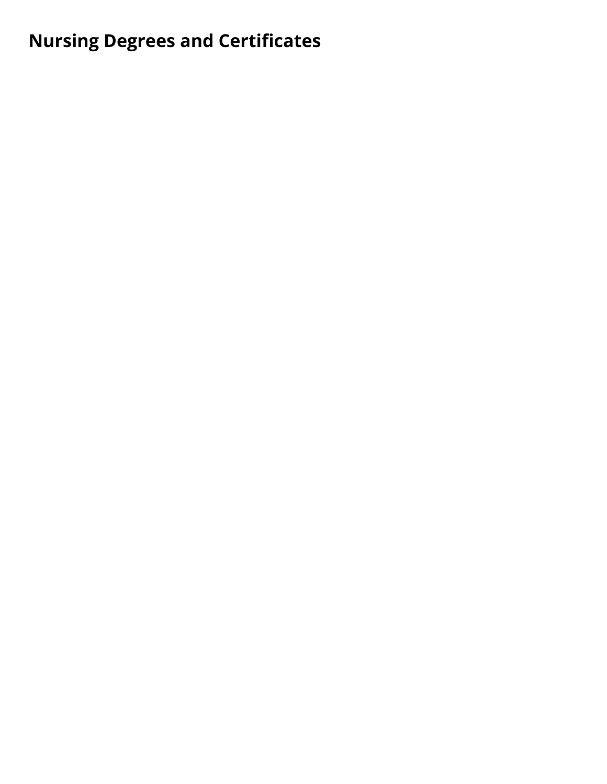## **Nursing Degrees and Certificates**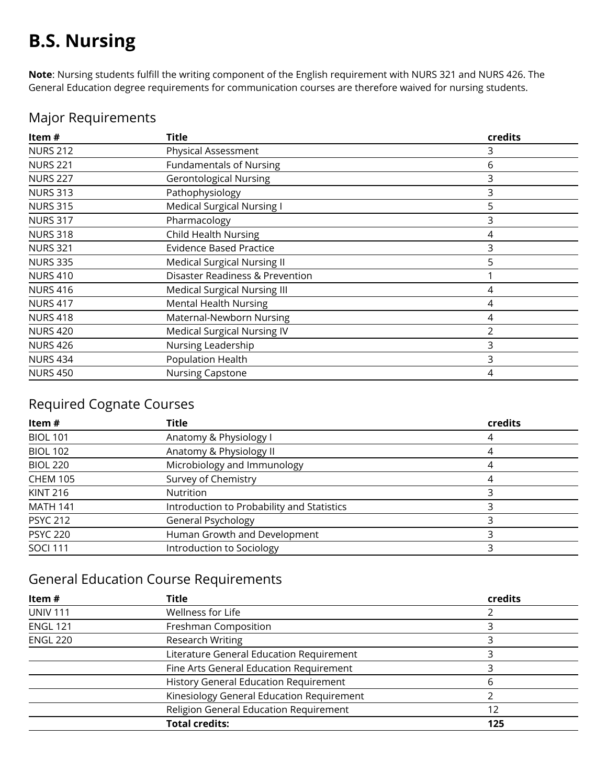## **B.S. Nursing**

**Note**: Nursing students fulfill the writing component of the English requirement with NURS 321 and NURS 426. The General Education degree requirements for communication courses are therefore waived for nursing students.

| Item#           | <b>Title</b>                        | credits |
|-----------------|-------------------------------------|---------|
| <b>NURS 212</b> | Physical Assessment                 | 3       |
| <b>NURS 221</b> | <b>Fundamentals of Nursing</b>      | 6       |
| <b>NURS 227</b> | <b>Gerontological Nursing</b>       | 3       |
| <b>NURS 313</b> | Pathophysiology                     | 3       |
| <b>NURS 315</b> | <b>Medical Surgical Nursing I</b>   | 5       |
| <b>NURS 317</b> | Pharmacology                        | 3       |
| <b>NURS 318</b> | <b>Child Health Nursing</b>         | 4       |
| <b>NURS 321</b> | <b>Evidence Based Practice</b>      | 3       |
| <b>NURS 335</b> | <b>Medical Surgical Nursing II</b>  | 5.      |
| <b>NURS 410</b> | Disaster Readiness & Prevention     |         |
| <b>NURS 416</b> | <b>Medical Surgical Nursing III</b> | 4       |
| <b>NURS 417</b> | <b>Mental Health Nursing</b>        | 4       |
| <b>NURS 418</b> | Maternal-Newborn Nursing            | 4       |
| <b>NURS 420</b> | <b>Medical Surgical Nursing IV</b>  | 2       |
| <b>NURS 426</b> | Nursing Leadership                  | 3       |
| <b>NURS 434</b> | Population Health                   | 3       |
| <b>NURS 450</b> | <b>Nursing Capstone</b>             | 4       |

### Major Requirements

### Required Cognate Courses

| ltem #          | <b>Title</b>                               | credits  |
|-----------------|--------------------------------------------|----------|
| <b>BIOL 101</b> | Anatomy & Physiology I                     |          |
| <b>BIOL 102</b> | Anatomy & Physiology II                    | 4        |
| <b>BIOL 220</b> | Microbiology and Immunology                | $\Delta$ |
| <b>CHEM 105</b> | Survey of Chemistry                        |          |
| <b>KINT 216</b> | Nutrition                                  |          |
| <b>MATH 141</b> | Introduction to Probability and Statistics |          |
| <b>PSYC 212</b> | General Psychology                         |          |
| <b>PSYC 220</b> | Human Growth and Development               |          |
| <b>SOCI 111</b> | Introduction to Sociology                  |          |

### General Education Course Requirements

| Item#           | <b>Title</b>                                 | credits |
|-----------------|----------------------------------------------|---------|
| <b>UNIV 111</b> | Wellness for Life                            |         |
| <b>ENGL 121</b> | Freshman Composition                         |         |
| <b>ENGL 220</b> | <b>Research Writing</b>                      |         |
|                 | Literature General Education Requirement     |         |
|                 | Fine Arts General Education Requirement      |         |
|                 | <b>History General Education Requirement</b> | h       |
|                 | Kinesiology General Education Requirement    |         |
|                 | Religion General Education Requirement       | 12      |
|                 | <b>Total credits:</b>                        | 125     |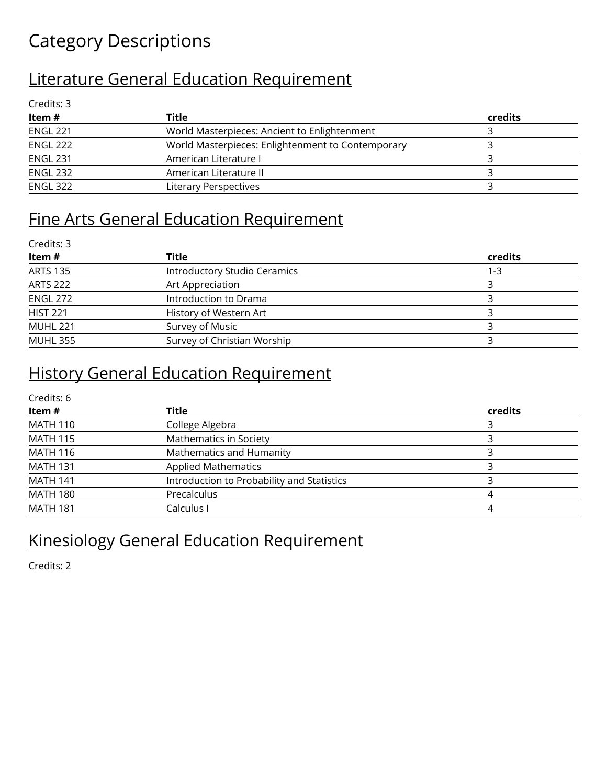## Category Descriptions

### Literature General Education Requirement

| Credits: 3      |                                                   |         |
|-----------------|---------------------------------------------------|---------|
| Item#           | Title                                             | credits |
| <b>ENGL 221</b> | World Masterpieces: Ancient to Enlightenment      |         |
| <b>ENGL 222</b> | World Masterpieces: Enlightenment to Contemporary |         |
| <b>ENGL 231</b> | American Literature I                             |         |
| <b>ENGL 232</b> | American Literature II                            |         |
| <b>ENGL 322</b> | Literary Perspectives                             |         |

### Fine Arts General Education Requirement

| Credits: 3      |                              |         |  |
|-----------------|------------------------------|---------|--|
| Item#           | <b>Title</b>                 | credits |  |
| <b>ARTS 135</b> | Introductory Studio Ceramics | 1-3     |  |
| <b>ARTS 222</b> | Art Appreciation             |         |  |
| ENGL 272        | Introduction to Drama        |         |  |
| <b>HIST 221</b> | History of Western Art       |         |  |
| <b>MUHL 221</b> | Survey of Music              |         |  |
| <b>MUHL 355</b> | Survey of Christian Worship  |         |  |
|                 |                              |         |  |

### History General Education Requirement

| Credits: 6      |                                            |         |  |
|-----------------|--------------------------------------------|---------|--|
| Item#           | Title                                      | credits |  |
| <b>MATH 110</b> | College Algebra                            |         |  |
| <b>MATH 115</b> | Mathematics in Society                     |         |  |
| <b>MATH 116</b> | Mathematics and Humanity                   |         |  |
| <b>MATH 131</b> | <b>Applied Mathematics</b>                 |         |  |
| <b>MATH 141</b> | Introduction to Probability and Statistics |         |  |
| <b>MATH 180</b> | Precalculus                                |         |  |
| <b>MATH 181</b> | Calculus I                                 |         |  |

### Kinesiology General Education Requirement

Credits: 2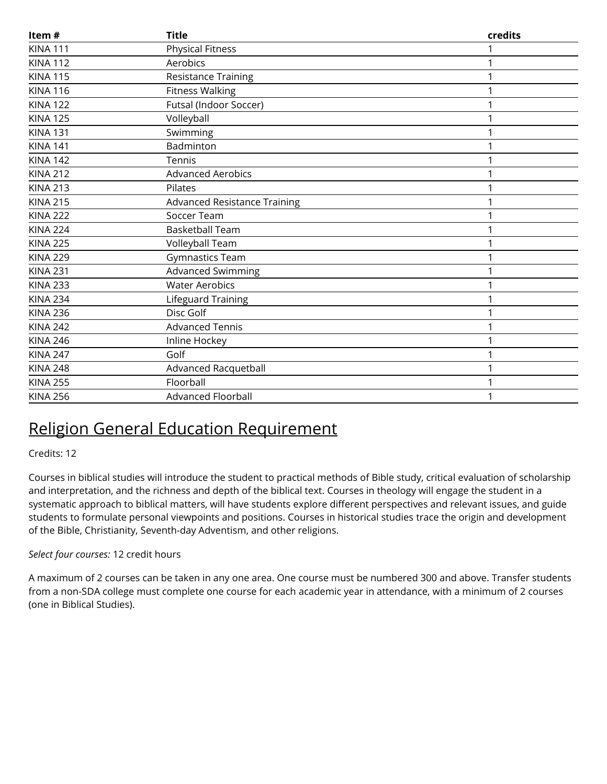| Item#           | <b>Title</b>                        | credits |
|-----------------|-------------------------------------|---------|
| <b>KINA 111</b> | <b>Physical Fitness</b>             |         |
| <b>KINA 112</b> | Aerobics                            | 1       |
| <b>KINA 115</b> | <b>Resistance Training</b>          |         |
| <b>KINA 116</b> | <b>Fitness Walking</b>              |         |
| <b>KINA 122</b> | Futsal (Indoor Soccer)              |         |
| <b>KINA 125</b> | Volleyball                          |         |
| <b>KINA 131</b> | Swimming                            |         |
| <b>KINA 141</b> | Badminton                           |         |
| <b>KINA 142</b> | Tennis                              |         |
| <b>KINA 212</b> | <b>Advanced Aerobics</b>            |         |
| <b>KINA 213</b> | Pilates                             |         |
| <b>KINA 215</b> | <b>Advanced Resistance Training</b> |         |
| <b>KINA 222</b> | Soccer Team                         |         |
| <b>KINA 224</b> | <b>Basketball Team</b>              |         |
| <b>KINA 225</b> | Volleyball Team                     | 1       |
| <b>KINA 229</b> | Gymnastics Team                     |         |
| <b>KINA 231</b> | Advanced Swimming                   |         |
| <b>KINA 233</b> | <b>Water Aerobics</b>               |         |
| <b>KINA 234</b> | Lifeguard Training                  | 1       |
| <b>KINA 236</b> | Disc Golf                           |         |
| <b>KINA 242</b> | <b>Advanced Tennis</b>              |         |
| <b>KINA 246</b> | Inline Hockey                       |         |
| <b>KINA 247</b> | Golf                                |         |
| <b>KINA 248</b> | Advanced Racquetball                |         |
| <b>KINA 255</b> | Floorball                           |         |
| <b>KINA 256</b> | <b>Advanced Floorball</b>           |         |

### Religion General Education Requirement

### Credits: 12

Courses in biblical studies will introduce the student to practical methods of Bible study, critical evaluation of scholarship and interpretation, and the richness and depth of the biblical text. Courses in theology will engage the student in a systematic approach to biblical matters, will have students explore different perspectives and relevant issues, and guide students to formulate personal viewpoints and positions. Courses in historical studies trace the origin and development of the Bible, Christianity, Seventh-day Adventism, and other religions.

### *Select four courses:* 12 credit hours

A maximum of 2 courses can be taken in any one area. One course must be numbered 300 and above. Transfer students from a non-SDA college must complete one course for each academic year in attendance, with a minimum of 2 courses (one in Biblical Studies).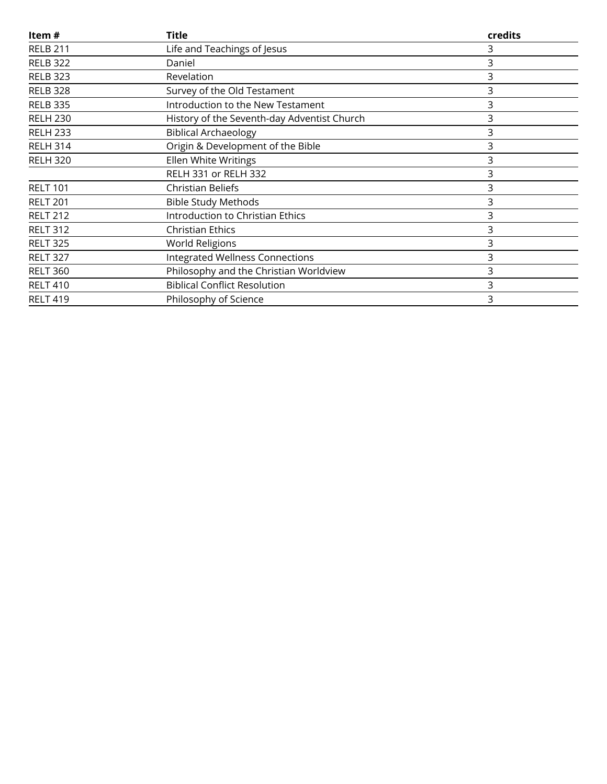| Item#           | <b>Title</b>                                | credits |
|-----------------|---------------------------------------------|---------|
| <b>RELB 211</b> | Life and Teachings of Jesus                 | 3       |
| <b>RELB 322</b> | Daniel                                      | 3       |
| <b>RELB 323</b> | Revelation                                  | 3       |
| <b>RELB 328</b> | Survey of the Old Testament                 | 3       |
| <b>RELB 335</b> | Introduction to the New Testament           | 3       |
| <b>RELH 230</b> | History of the Seventh-day Adventist Church | 3       |
| <b>RELH 233</b> | <b>Biblical Archaeology</b>                 | 3       |
| <b>RELH 314</b> | Origin & Development of the Bible           | 3       |
| <b>RELH 320</b> | Ellen White Writings                        | 3       |
|                 | RELH 331 or RELH 332                        | 3       |
| <b>RELT 101</b> | <b>Christian Beliefs</b>                    | 3       |
| <b>RELT 201</b> | <b>Bible Study Methods</b>                  | 3       |
| <b>RELT 212</b> | <b>Introduction to Christian Ethics</b>     | 3       |
| <b>RELT 312</b> | <b>Christian Ethics</b>                     | 3       |
| <b>RELT 325</b> | World Religions                             | 3       |
| <b>RELT 327</b> | <b>Integrated Wellness Connections</b>      | 3       |
| <b>RELT 360</b> | Philosophy and the Christian Worldview      | 3       |
| <b>RELT 410</b> | <b>Biblical Conflict Resolution</b>         | 3       |
| <b>RELT 419</b> | Philosophy of Science                       | 3       |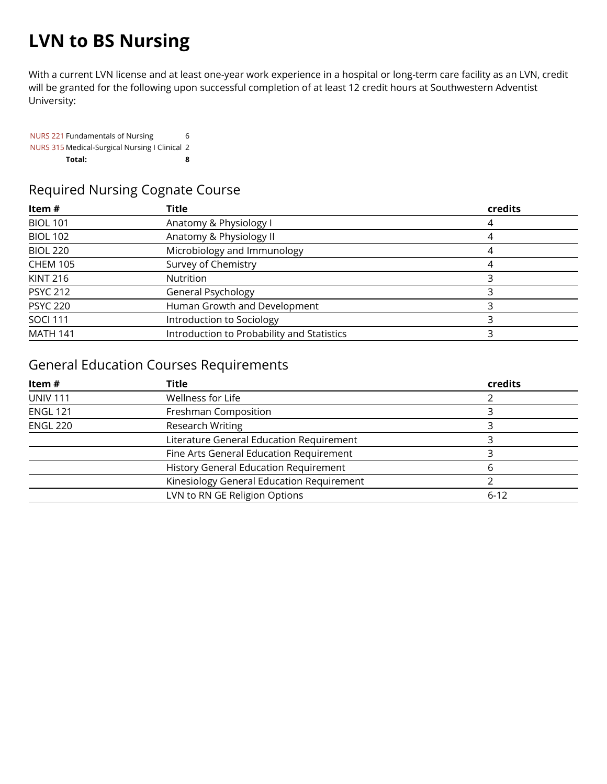## **LVN to BS Nursing**

With a current LVN license and at least one-year work experience in a hospital or long-term care facility as an LVN, credit will be granted for the following upon successful completion of at least 12 credit hours at Southwestern Adventist University:

[NURS 221](https://catalog.swau.edu/nursing/nurs-221) Fundamentals of Nursing 6 [NURS 315](https://catalog.swau.edu/nursing/nurs-315) Medical-Surgical Nursing I Clinical 2 **Total: 8** 

### Required Nursing Cognate Course

| Item#           | Title                                      | credits   |
|-----------------|--------------------------------------------|-----------|
| <b>BIOL 101</b> | Anatomy & Physiology I                     |           |
| <b>BIOL 102</b> | Anatomy & Physiology II                    |           |
| <b>BIOL 220</b> | Microbiology and Immunology                | <u>/I</u> |
| <b>CHEM 105</b> | Survey of Chemistry                        | 4         |
| <b>KINT 216</b> | <b>Nutrition</b>                           |           |
| <b>PSYC 212</b> | General Psychology                         |           |
| <b>PSYC 220</b> | Human Growth and Development               |           |
| <b>SOCI 111</b> | Introduction to Sociology                  |           |
| <b>MATH 141</b> | Introduction to Probability and Statistics |           |

### General Education Courses Requirements

| Item#           | Title                                        | credits  |
|-----------------|----------------------------------------------|----------|
| <b>UNIV 111</b> | Wellness for Life                            |          |
| <b>ENGL 121</b> | Freshman Composition                         |          |
| <b>ENGL 220</b> | <b>Research Writing</b>                      |          |
|                 | Literature General Education Requirement     |          |
|                 | Fine Arts General Education Requirement      |          |
|                 | <b>History General Education Requirement</b> | h        |
|                 | Kinesiology General Education Requirement    |          |
|                 | LVN to RN GE Religion Options                | $6 - 12$ |
|                 |                                              |          |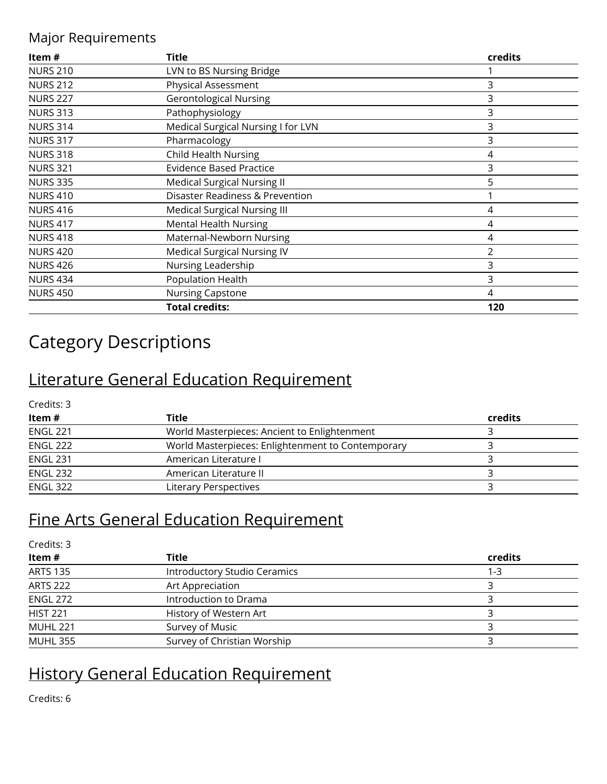### Major Requirements

| Item $#$        | Title                                      | credits |
|-----------------|--------------------------------------------|---------|
| <b>NURS 210</b> | LVN to BS Nursing Bridge                   |         |
| <b>NURS 212</b> | Physical Assessment                        | 3       |
| <b>NURS 227</b> | <b>Gerontological Nursing</b>              | 3       |
| <b>NURS 313</b> | Pathophysiology                            | 3       |
| <b>NURS 314</b> | Medical Surgical Nursing I for LVN         | 3       |
| <b>NURS 317</b> | Pharmacology                               | 3       |
| <b>NURS 318</b> | <b>Child Health Nursing</b>                | 4       |
| <b>NURS 321</b> | <b>Evidence Based Practice</b>             | 3       |
| <b>NURS 335</b> | <b>Medical Surgical Nursing II</b>         | 5       |
| <b>NURS 410</b> | <b>Disaster Readiness &amp; Prevention</b> |         |
| <b>NURS 416</b> | <b>Medical Surgical Nursing III</b>        | 4       |
| <b>NURS 417</b> | <b>Mental Health Nursing</b>               | 4       |
| <b>NURS 418</b> | Maternal-Newborn Nursing                   | 4       |
| <b>NURS 420</b> | <b>Medical Surgical Nursing IV</b>         | 2       |
| <b>NURS 426</b> | Nursing Leadership                         | 3       |
| <b>NURS 434</b> | Population Health                          | 3       |
| <b>NURS 450</b> | Nursing Capstone                           | 4       |
|                 | <b>Total credits:</b>                      | 120     |

## Category Descriptions

### Literature General Education Requirement

Credits: 3

| ltem #          | Title                                             | credits |  |
|-----------------|---------------------------------------------------|---------|--|
| <b>ENGL 221</b> | World Masterpieces: Ancient to Enlightenment      |         |  |
| <b>ENGL 222</b> | World Masterpieces: Enlightenment to Contemporary |         |  |
| <b>ENGL 231</b> | American Literature I                             |         |  |
| ENGL 232        | American Literature II                            |         |  |
| <b>ENGL 322</b> | Literary Perspectives                             |         |  |

### Fine Arts General Education Requirement

| Credits: 3      |                              |         |
|-----------------|------------------------------|---------|
| Item#           | <b>Title</b>                 | credits |
| <b>ARTS 135</b> | Introductory Studio Ceramics | 1-3     |
| <b>ARTS 222</b> | Art Appreciation             |         |
| <b>ENGL 272</b> | Introduction to Drama        |         |
| <b>HIST 221</b> | History of Western Art       |         |
| <b>MUHL 221</b> | Survey of Music              |         |
| <b>MUHL 355</b> | Survey of Christian Worship  |         |

### History General Education Requirement

Credits: 6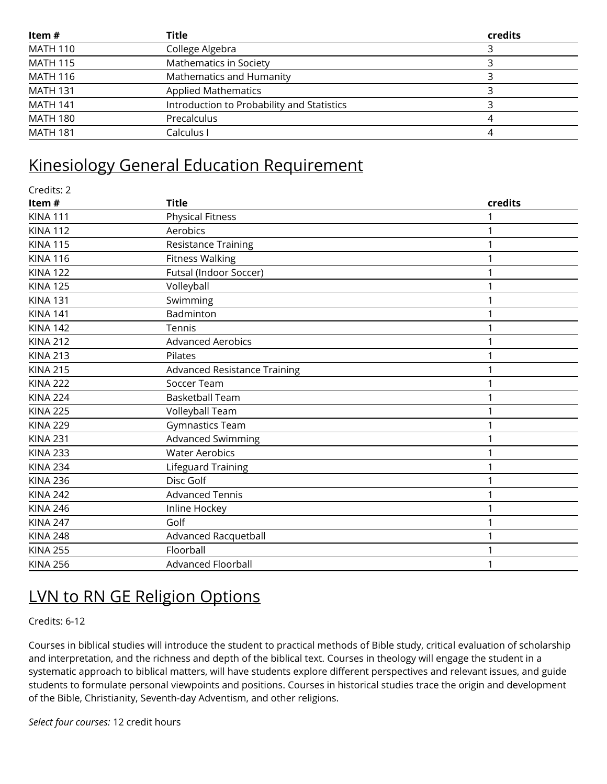| Item#           | Title                                      | credits |
|-----------------|--------------------------------------------|---------|
| <b>MATH 110</b> | College Algebra                            |         |
| <b>MATH 115</b> | Mathematics in Society                     |         |
| <b>MATH 116</b> | Mathematics and Humanity                   |         |
| <b>MATH 131</b> | <b>Applied Mathematics</b>                 |         |
| <b>MATH 141</b> | Introduction to Probability and Statistics |         |
| <b>MATH 180</b> | Precalculus                                |         |
| <b>MATH 181</b> | Calculus I                                 |         |

### Kinesiology General Education Requirement

| Credits: 2      |                                     |         |
|-----------------|-------------------------------------|---------|
| Item#           | <b>Title</b>                        | credits |
| <b>KINA 111</b> | <b>Physical Fitness</b>             |         |
| <b>KINA 112</b> | Aerobics                            |         |
| <b>KINA 115</b> | <b>Resistance Training</b>          |         |
| <b>KINA 116</b> | <b>Fitness Walking</b>              |         |
| <b>KINA 122</b> | Futsal (Indoor Soccer)              |         |
| <b>KINA 125</b> | Volleyball                          |         |
| <b>KINA 131</b> | Swimming                            |         |
| <b>KINA 141</b> | Badminton                           |         |
| <b>KINA 142</b> | Tennis                              |         |
| <b>KINA 212</b> | <b>Advanced Aerobics</b>            |         |
| <b>KINA 213</b> | Pilates                             |         |
| <b>KINA 215</b> | <b>Advanced Resistance Training</b> |         |
| <b>KINA 222</b> | Soccer Team                         |         |
| <b>KINA 224</b> | <b>Basketball Team</b>              |         |
| <b>KINA 225</b> | Volleyball Team                     |         |
| <b>KINA 229</b> | Gymnastics Team                     |         |
| <b>KINA 231</b> | <b>Advanced Swimming</b>            |         |
| <b>KINA 233</b> | <b>Water Aerobics</b>               |         |
| <b>KINA 234</b> | Lifeguard Training                  |         |
| <b>KINA 236</b> | Disc Golf                           |         |
| <b>KINA 242</b> | <b>Advanced Tennis</b>              |         |
| <b>KINA 246</b> | Inline Hockey                       |         |
| <b>KINA 247</b> | Golf                                |         |
| <b>KINA 248</b> | Advanced Racquetball                |         |
| <b>KINA 255</b> | Floorball                           |         |
| <b>KINA 256</b> | <b>Advanced Floorball</b>           |         |
|                 |                                     |         |

### LVN to RN GE Religion Options

Credits: 6 - 12

Courses in biblical studies will introduce the student to practical methods of Bible study, critical evaluation of scholarship and interpretation, and the richness and depth of the biblical text. Courses in theology will engage the student in a systematic approach to biblical matters, will have students explore different perspectives and relevant issues, and guide students to formulate personal viewpoints and positions. Courses in historical studies trace the origin and development of the Bible, Christianity, Seventh-day Adventism, and other religions.

*Select four courses:* 12 credit hours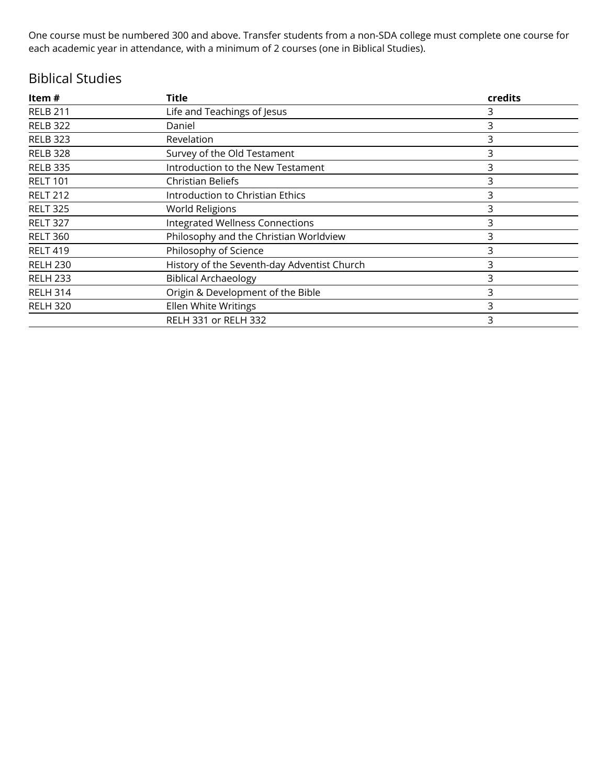One course must be numbered 300 and above. Transfer students from a non-SDA college must complete one course for each academic year in attendance, with a minimum of 2 courses (one in Biblical Studies).

### Biblical Studies

| Item #          | <b>Title</b>                                | credits |
|-----------------|---------------------------------------------|---------|
| <b>RELB 211</b> | Life and Teachings of Jesus                 | 3       |
| <b>RELB 322</b> | Daniel                                      | 3       |
| <b>RELB 323</b> | Revelation                                  | 3       |
| <b>RELB 328</b> | Survey of the Old Testament                 | 3       |
| <b>RELB 335</b> | Introduction to the New Testament           | 3       |
| <b>RELT 101</b> | <b>Christian Beliefs</b>                    | 3       |
| <b>RELT 212</b> | Introduction to Christian Ethics            | 3       |
| <b>RELT 325</b> | World Religions                             | 3       |
| <b>RELT 327</b> | Integrated Wellness Connections             | 3       |
| <b>RELT 360</b> | Philosophy and the Christian Worldview      | 3       |
| <b>RELT 419</b> | Philosophy of Science                       | 3       |
| <b>RELH 230</b> | History of the Seventh-day Adventist Church | 3       |
| <b>RELH 233</b> | <b>Biblical Archaeology</b>                 | 3       |
| <b>RELH 314</b> | Origin & Development of the Bible           | 3       |
| <b>RELH 320</b> | Ellen White Writings                        | 3       |
|                 | <b>RELH 331 or RELH 332</b>                 | 3       |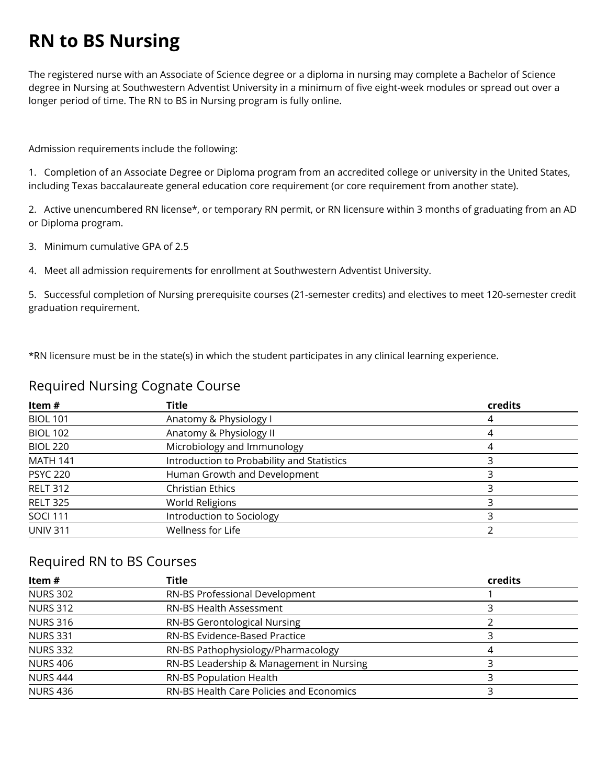## **RN to BS Nursing**

The registered nurse with an Associate of Science degree or a diploma in nursing may complete a Bachelor of Science degree in Nursing at Southwestern Adventist University in a minimum of five eight-week modules or spread out over a longer period of time. The RN to BS in Nursing program is fully online.

Admission requirements include the following:

1. Completion of an Associate Degree or Diploma program from an accredited college or university in the United States, including Texas baccalaureate general education core requirement (or core requirement from another state).

2. Active unencumbered RN license\*, or temporary RN permit, or RN licensure within 3 months of graduating from an AD or Diploma program.

3. Minimum cumulative GPA of 2.5

4. Meet all admission requirements for enrollment at Southwestern Adventist University.

5. Successful completion of Nursing prerequisite courses (21-semester credits) and electives to meet 120-semester credit graduation requirement.

\*RN licensure must be in the state(s) in which the student participates in any clinical learning experience.

### Required Nursing Cognate Course

| Item#           | Title                                      | credits |
|-----------------|--------------------------------------------|---------|
| <b>BIOL 101</b> | Anatomy & Physiology I                     |         |
| <b>BIOL 102</b> | Anatomy & Physiology II                    | 4       |
| <b>BIOL 220</b> | Microbiology and Immunology                | 4       |
| <b>MATH 141</b> | Introduction to Probability and Statistics |         |
| <b>PSYC 220</b> | Human Growth and Development               |         |
| <b>RELT 312</b> | <b>Christian Ethics</b>                    |         |
| <b>RELT 325</b> | <b>World Religions</b>                     |         |
| <b>SOCI 111</b> | Introduction to Sociology                  |         |
| <b>UNIV 311</b> | Wellness for Life                          |         |

### Required RN to BS Courses

| Item $#$        | Title                                    | credits |
|-----------------|------------------------------------------|---------|
| <b>NURS 302</b> | RN-BS Professional Development           |         |
| <b>NURS 312</b> | <b>RN-BS Health Assessment</b>           |         |
| <b>NURS 316</b> | RN-BS Gerontological Nursing             |         |
| <b>NURS 331</b> | RN-BS Evidence-Based Practice            |         |
| <b>NURS 332</b> | RN-BS Pathophysiology/Pharmacology       | 4       |
| <b>NURS 406</b> | RN-BS Leadership & Management in Nursing |         |
| <b>NURS 444</b> | RN-BS Population Health                  |         |
| <b>NURS 436</b> | RN-BS Health Care Policies and Economics |         |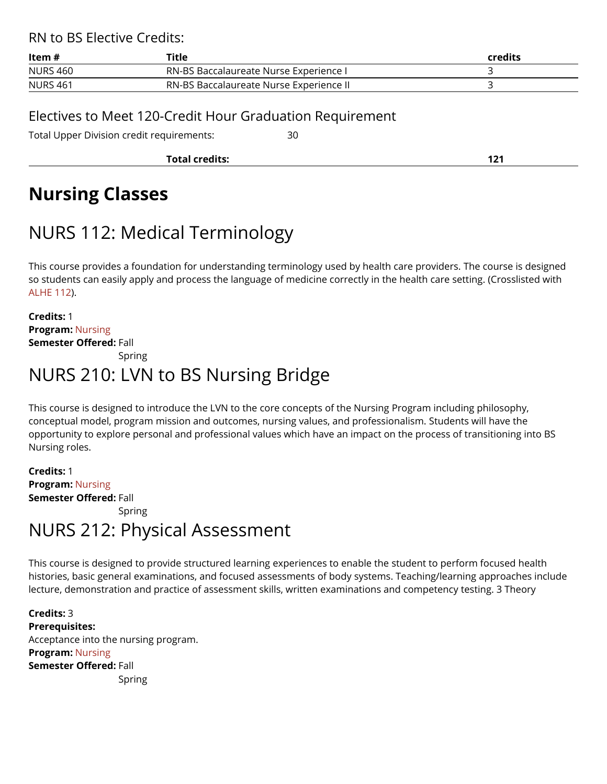RN to BS Elective Credits:

| ltem #          | Title                                   | credits |
|-----------------|-----------------------------------------|---------|
| <b>NURS 460</b> | RN-BS Baccalaureate Nurse Experience I  |         |
| <b>NURS 461</b> | RN-BS Baccalaureate Nurse Experience II |         |

### Electives to Meet 120-Credit Hour Graduation Requirement

Total Upper Division credit requirements: 30

**Total credits: 121** 

## **Nursing Classes**

## NURS 112: Medical Terminology

This course provides a foundation for understanding terminology used by health care providers. The course is designed so students can easily apply and process the language of medicine correctly in the health care setting. (Crosslisted with [ALHE 112\)](https://catalog.swau.edu/preprofessional/alhe-112).

**Credits:** 1 **Program:** [Nursing](https://catalog.swau.edu/nursing)  **Semester Offered:** Fall

Spring

### NURS 210: LVN to BS Nursing Bridge

This course is designed to introduce the LVN to the core concepts of the Nursing Program including philosophy, conceptual model, program mission and outcomes, nursing values, and professionalism. Students will have the opportunity to explore personal and professional values which have an impact on the process of transitioning into BS Nursing roles.

**Credits:** 1 **Program:** [Nursing](https://catalog.swau.edu/nursing)  **Semester Offered:** Fall Spring

### NURS 212: Physical Assessment

This course is designed to provide structured learning experiences to enable the student to perform focused health histories, basic general examinations, and focused assessments of body systems. Teaching/learning approaches include lecture, demonstration and practice of assessment skills, written examinations and competency testing. 3 Theory

**Credits:** 3 **Prerequisites:**  Acceptance into the nursing program. **Program:** [Nursing](https://catalog.swau.edu/nursing)  **Semester Offered:** Fall Spring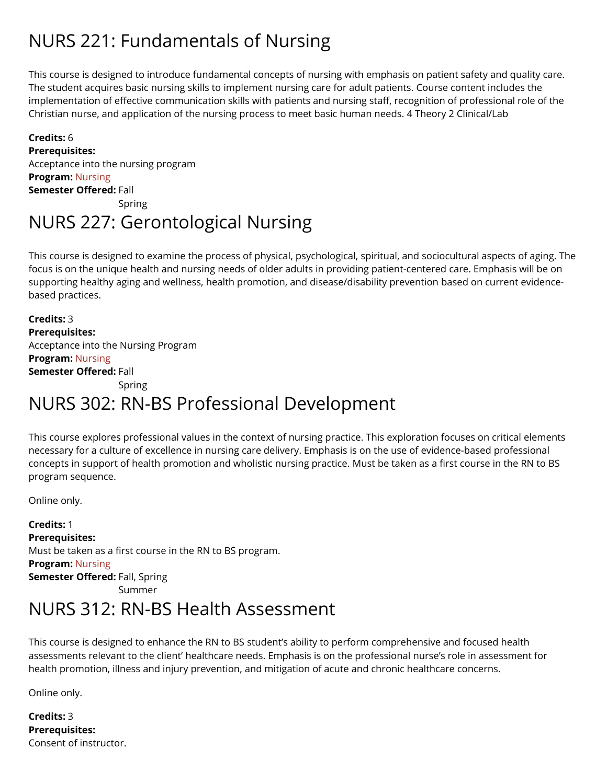## NURS 221: Fundamentals of Nursing

This course is designed to introduce fundamental concepts of nursing with emphasis on patient safety and quality care. The student acquires basic nursing skills to implement nursing care for adult patients. Course content includes the implementation of effective communication skills with patients and nursing staff, recognition of professional role of the Christian nurse, and application of the nursing process to meet basic human needs. 4 Theory 2 Clinical/Lab

### **Credits:** 6 **Prerequisites:**  Acceptance into the nursing program **Program:** [Nursing](https://catalog.swau.edu/nursing)  **Semester Offered:** Fall Spring

## NURS 227: Gerontological Nursing

This course is designed to examine the process of physical, psychological, spiritual, and sociocultural aspects of aging. The focus is on the unique health and nursing needs of older adults in providing patient-centered care. Emphasis will be on supporting healthy aging and wellness, health promotion, and disease/disability prevention based on current evidencebased practices.

**Credits:** 3 **Prerequisites:**  Acceptance into the Nursing Program **Program:** [Nursing](https://catalog.swau.edu/nursing)  **Semester Offered:** Fall Spring

### NURS 302: RN-BS Professional Development

This course explores professional values in the context of nursing practice. This exploration focuses on critical elements necessary for a culture of excellence in nursing care delivery. Emphasis is on the use of evidence-based professional concepts in support of health promotion and wholistic nursing practice. Must be taken as a first course in the RN to BS program sequence.

Online only.

**Credits:** 1 **Prerequisites:**  Must be taken as a first course in the RN to BS program. **Program:** [Nursing](https://catalog.swau.edu/nursing)  **Semester Offered:** Fall, Spring Summer

### NURS 312: RN-BS Health Assessment

This course is designed to enhance the RN to BS student's ability to perform comprehensive and focused health assessments relevant to the client' healthcare needs. Emphasis is on the professional nurse's role in assessment for health promotion, illness and injury prevention, and mitigation of acute and chronic healthcare concerns.

Online only.

**Credits:** 3 **Prerequisites:**  Consent of instructor.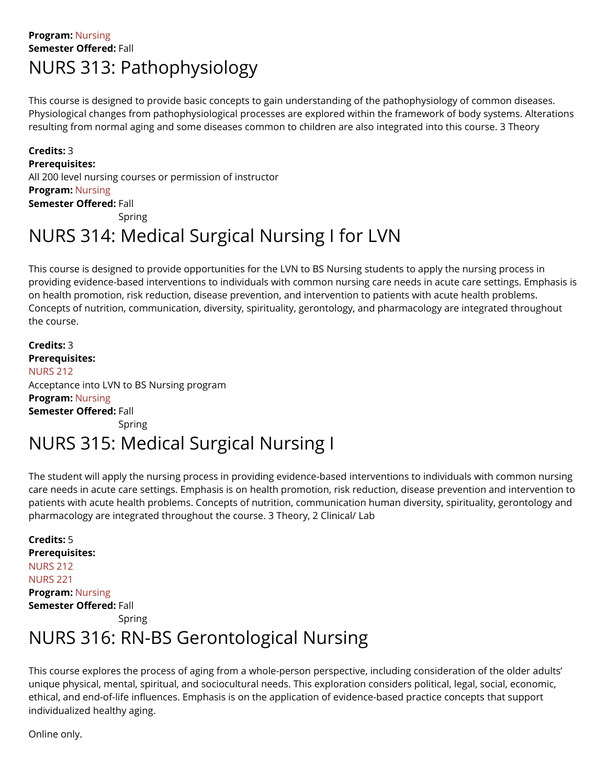### **Program:** [Nursing](https://catalog.swau.edu/nursing)  **Semester Offered:** Fall NURS 313: Pathophysiology

This course is designed to provide basic concepts to gain understanding of the pathophysiology of common diseases. Physiological changes from pathophysiological processes are explored within the framework of body systems. Alterations resulting from normal aging and some diseases common to children are also integrated into this course. 3 Theory

**Credits:** 3 **Prerequisites:**  All 200 level nursing courses or permission of instructor **Program:** [Nursing](https://catalog.swau.edu/nursing)  **Semester Offered:** Fall

Spring

## NURS 314: Medical Surgical Nursing I for LVN

This course is designed to provide opportunities for the LVN to BS Nursing students to apply the nursing process in providing evidence-based interventions to individuals with common nursing care needs in acute care settings. Emphasis is on health promotion, risk reduction, disease prevention, and intervention to patients with acute health problems. Concepts of nutrition, communication, diversity, spirituality, gerontology, and pharmacology are integrated throughout the course.

**Credits:** 3 **Prerequisites:**  [NURS 212](https://catalog.swau.edu/nursing/nurs-212)  Acceptance into LVN to BS Nursing program **Program:** [Nursing](https://catalog.swau.edu/nursing)  **Semester Offered:** Fall Spring

## NURS 315: Medical Surgical Nursing I

The student will apply the nursing process in providing evidence-based interventions to individuals with common nursing care needs in acute care settings. Emphasis is on health promotion, risk reduction, disease prevention and intervention to patients with acute health problems. Concepts of nutrition, communication human diversity, spirituality, gerontology and pharmacology are integrated throughout the course. 3 Theory, 2 Clinical/ Lab

**Credits:** 5 **Prerequisites:**  [NURS 212](https://catalog.swau.edu/nursing/nurs-212)  [NURS 221](https://catalog.swau.edu/nursing/nurs-221)  **Program:** [Nursing](https://catalog.swau.edu/nursing)  **Semester Offered:** Fall Spring

### NURS 316: RN-BS Gerontological Nursing

This course explores the process of aging from a whole-person perspective, including consideration of the older adults' unique physical, mental, spiritual, and sociocultural needs. This exploration considers political, legal, social, economic, ethical, and end-of-life influences. Emphasis is on the application of evidence-based practice concepts that support individualized healthy aging.

Online only.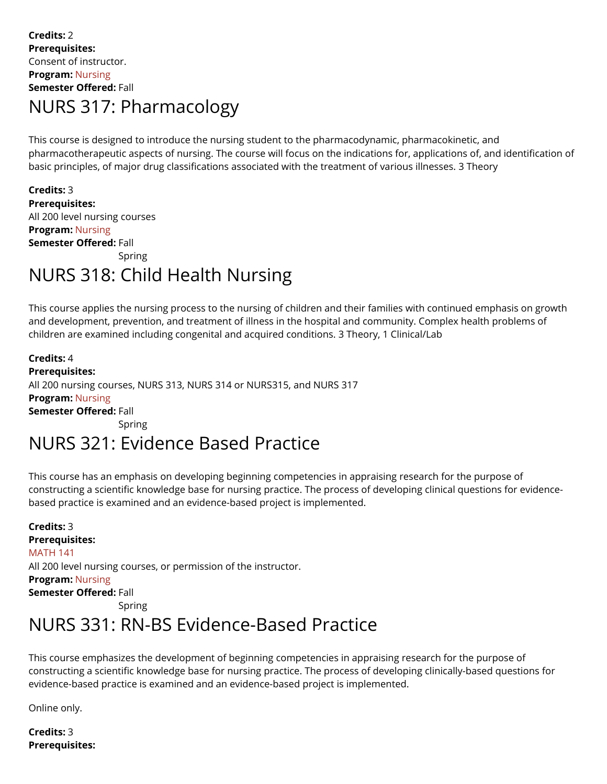### **Credits:** 2 **Prerequisites:**  Consent of instructor. **Program:** [Nursing](https://catalog.swau.edu/nursing)  **Semester Offered:** Fall NURS 317: Pharmacology

This course is designed to introduce the nursing student to the pharmacodynamic, pharmacokinetic, and pharmacotherapeutic aspects of nursing. The course will focus on the indications for, applications of, and identification of basic principles, of major drug classifications associated with the treatment of various illnesses. 3 Theory

**Credits:** 3 **Prerequisites:**  All 200 level nursing courses **Program:** [Nursing](https://catalog.swau.edu/nursing)  **Semester Offered:** Fall Spring

## NURS 318: Child Health Nursing

This course applies the nursing process to the nursing of children and their families with continued emphasis on growth and development, prevention, and treatment of illness in the hospital and community. Complex health problems of children are examined including congenital and acquired conditions. 3 Theory, 1 Clinical/Lab

**Credits:** 4 **Prerequisites:**  All 200 nursing courses, NURS 313, NURS 314 or NURS315, and NURS 317 **Program:** [Nursing](https://catalog.swau.edu/nursing)  **Semester Offered:** Fall Spring

## NURS 321: Evidence Based Practice

This course has an emphasis on developing beginning competencies in appraising research for the purpose of constructing a scientific knowledge base for nursing practice. The process of developing clinical questions for evidencebased practice is examined and an evidence-based project is implemented.

**Credits:** 3 **Prerequisites:**  [MATH 141](https://catalog.swau.edu/mathematics/math-141)  All 200 level nursing courses, or permission of the instructor. **Program:** [Nursing](https://catalog.swau.edu/nursing)  **Semester Offered:** Fall Spring

### NURS 331: RN-BS Evidence-Based Practice

This course emphasizes the development of beginning competencies in appraising research for the purpose of constructing a scientific knowledge base for nursing practice. The process of developing clinically-based questions for evidence-based practice is examined and an evidence-based project is implemented.

Online only.

**Credits:** 3 **Prerequisites:**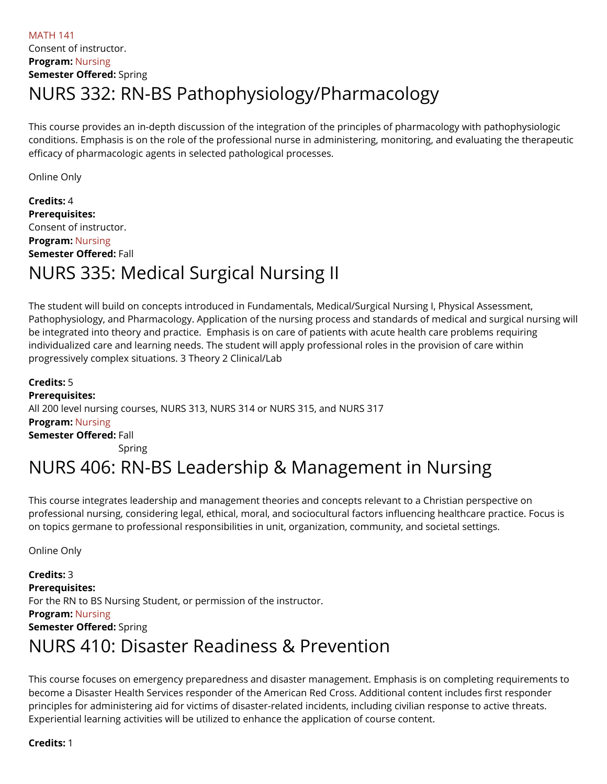### [MATH 141](https://catalog.swau.edu/mathematics/math-141)  Consent of instructor. **Program:** [Nursing](https://catalog.swau.edu/nursing)  **Semester Offered:** Spring NURS 332: RN-BS Pathophysiology/Pharmacology

This course provides an in-depth discussion of the integration of the principles of pharmacology with pathophysiologic conditions. Emphasis is on the role of the professional nurse in administering, monitoring, and evaluating the therapeutic efficacy of pharmacologic agents in selected pathological processes.

Online Only

**Credits:** 4 **Prerequisites:**  Consent of instructor. **Program:** [Nursing](https://catalog.swau.edu/nursing)  **Semester Offered:** Fall NURS 335: Medical Surgical Nursing II

The student will build on concepts introduced in Fundamentals, Medical/Surgical Nursing I, Physical Assessment, Pathophysiology, and Pharmacology. Application of the nursing process and standards of medical and surgical nursing will be integrated into theory and practice. Emphasis is on care of patients with acute health care problems requiring individualized care and learning needs. The student will apply professional roles in the provision of care within progressively complex situations. 3 Theory 2 Clinical/Lab

**Credits:** 5 **Prerequisites:**  All 200 level nursing courses, NURS 313, NURS 314 or NURS 315, and NURS 317 **Program:** [Nursing](https://catalog.swau.edu/nursing)  **Semester Offered:** Fall Spring NURS 406: RN-BS Leadership & Management in Nursing

This course integrates leadership and management theories and concepts relevant to a Christian perspective on professional nursing, considering legal, ethical, moral, and sociocultural factors influencing healthcare practice. Focus is on topics germane to professional responsibilities in unit, organization, community, and societal settings.

Online Only

**Credits:** 3 **Prerequisites:**  For the RN to BS Nursing Student, or permission of the instructor. **Program:** [Nursing](https://catalog.swau.edu/nursing)  **Semester Offered:** Spring NURS 410: Disaster Readiness & Prevention

This course focuses on emergency preparedness and disaster management. Emphasis is on completing requirements to become a Disaster Health Services responder of the American Red Cross. Additional content includes first responder principles for administering aid for victims of disaster-related incidents, including civilian response to active threats. Experiential learning activities will be utilized to enhance the application of course content.

**Credits:** 1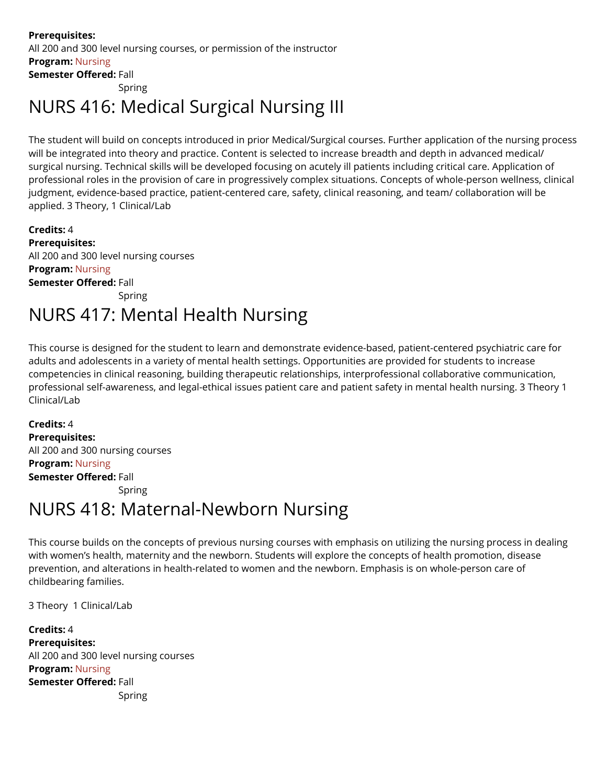**Prerequisites:**  All 200 and 300 level nursing courses, or permission of the instructor **Program:** [Nursing](https://catalog.swau.edu/nursing)  **Semester Offered:** Fall

Spring

## NURS 416: Medical Surgical Nursing III

The student will build on concepts introduced in prior Medical/Surgical courses. Further application of the nursing process will be integrated into theory and practice. Content is selected to increase breadth and depth in advanced medical/ surgical nursing. Technical skills will be developed focusing on acutely ill patients including critical care. Application of professional roles in the provision of care in progressively complex situations. Concepts of whole-person wellness, clinical judgment, evidence-based practice, patient-centered care, safety, clinical reasoning, and team/ collaboration will be applied. 3 Theory, 1 Clinical/Lab

**Credits:** 4 **Prerequisites:**  All 200 and 300 level nursing courses **Program:** [Nursing](https://catalog.swau.edu/nursing)  **Semester Offered:** Fall Spring

## NURS 417: Mental Health Nursing

This course is designed for the student to learn and demonstrate evidence-based, patient-centered psychiatric care for adults and adolescents in a variety of mental health settings. Opportunities are provided for students to increase competencies in clinical reasoning, building therapeutic relationships, interprofessional collaborative communication, professional self-awareness, and legal-ethical issues patient care and patient safety in mental health nursing. 3 Theory 1 Clinical/Lab

**Credits:** 4 **Prerequisites:**  All 200 and 300 nursing courses **Program:** [Nursing](https://catalog.swau.edu/nursing)  **Semester Offered:** Fall Spring

### NURS 418: Maternal-Newborn Nursing

This course builds on the concepts of previous nursing courses with emphasis on utilizing the nursing process in dealing with women's health, maternity and the newborn. Students will explore the concepts of health promotion, disease prevention, and alterations in health-related to women and the newborn. Emphasis is on whole-person care of childbearing families.

3 Theory 1 Clinical/Lab

**Credits:** 4 **Prerequisites:**  All 200 and 300 level nursing courses **Program:** [Nursing](https://catalog.swau.edu/nursing)  **Semester Offered:** Fall Spring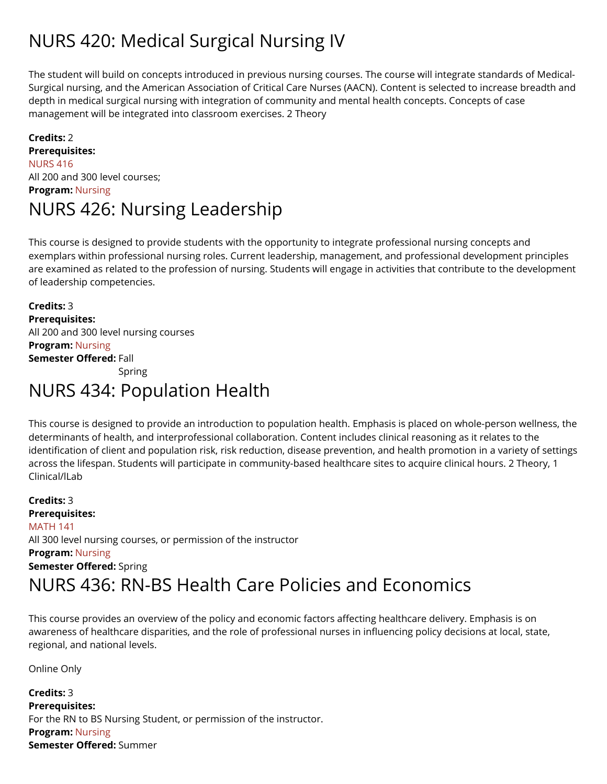## NURS 420: Medical Surgical Nursing IV

The student will build on concepts introduced in previous nursing courses. The course will integrate standards of Medical-Surgical nursing, and the American Association of Critical Care Nurses (AACN). Content is selected to increase breadth and depth in medical surgical nursing with integration of community and mental health concepts. Concepts of case management will be integrated into classroom exercises. 2 Theory

### **Credits:** 2 **Prerequisites:**  [NURS 416](https://catalog.swau.edu/nursing/nurs-416)  All 200 and 300 level courses; **Program:** [Nursing](https://catalog.swau.edu/nursing)  NURS 426: Nursing Leadership

This course is designed to provide students with the opportunity to integrate professional nursing concepts and exemplars within professional nursing roles. Current leadership, management, and professional development principles are examined as related to the profession of nursing. Students will engage in activities that contribute to the development of leadership competencies.

**Credits:** 3 **Prerequisites:**  All 200 and 300 level nursing courses **Program:** [Nursing](https://catalog.swau.edu/nursing)  **Semester Offered:** Fall Spring

### NURS 434: Population Health

This course is designed to provide an introduction to population health. Emphasis is placed on whole-person wellness, the determinants of health, and interprofessional collaboration. Content includes clinical reasoning as it relates to the identification of client and population risk, risk reduction, disease prevention, and health promotion in a variety of settings across the lifespan. Students will participate in community-based healthcare sites to acquire clinical hours. 2 Theory, 1 Clinical/lLab

**Credits:** 3 **Prerequisites:**  [MATH 141](https://catalog.swau.edu/mathematics/math-141)  All 300 level nursing courses, or permission of the instructor **Program:** [Nursing](https://catalog.swau.edu/nursing)  **Semester Offered:** Spring NURS 436: RN-BS Health Care Policies and Economics

This course provides an overview of the policy and economic factors affecting healthcare delivery. Emphasis is on awareness of healthcare disparities, and the role of professional nurses in influencing policy decisions at local, state, regional, and national levels.

Online Only

**Credits:** 3 **Prerequisites:**  For the RN to BS Nursing Student, or permission of the instructor. **Program:** [Nursing](https://catalog.swau.edu/nursing)  **Semester Offered:** Summer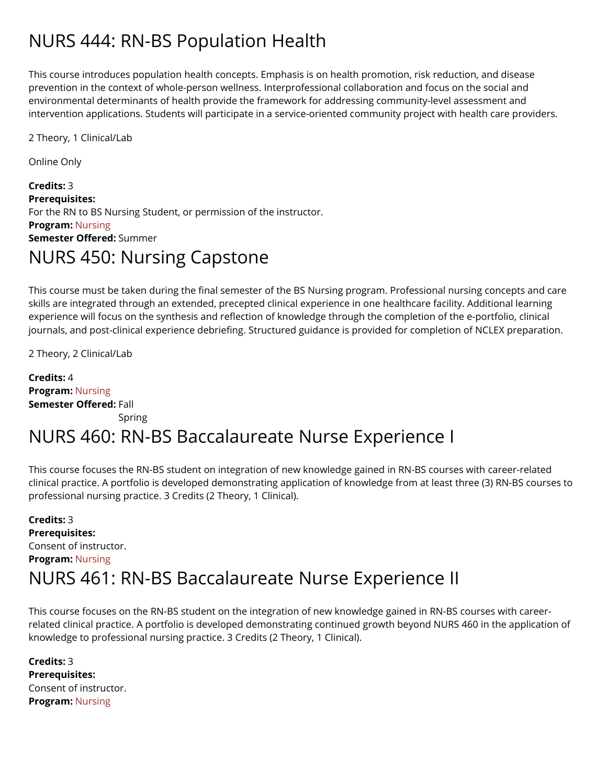## NURS 444: RN-BS Population Health

This course introduces population health concepts. Emphasis is on health promotion, risk reduction, and disease prevention in the context of whole-person wellness. Interprofessional collaboration and focus on the social and environmental determinants of health provide the framework for addressing community-level assessment and intervention applications. Students will participate in a service-oriented community project with health care providers.

2 Theory, 1 Clinical/Lab

Online Only

**Credits:** 3 **Prerequisites:**  For the RN to BS Nursing Student, or permission of the instructor. **Program:** [Nursing](https://catalog.swau.edu/nursing)  **Semester Offered:** Summer NURS 450: Nursing Capstone

This course must be taken during the final semester of the BS Nursing program. Professional nursing concepts and care skills are integrated through an extended, precepted clinical experience in one healthcare facility. Additional learning experience will focus on the synthesis and reflection of knowledge through the completion of the e-portfolio, clinical journals, and post-clinical experience debriefing. Structured guidance is provided for completion of NCLEX preparation.

2 Theory, 2 Clinical/Lab

**Credits:** 4 **Program:** [Nursing](https://catalog.swau.edu/nursing)  **Semester Offered:** Fall Spring

### NURS 460: RN-BS Baccalaureate Nurse Experience I

This course focuses the RN-BS student on integration of new knowledge gained in RN-BS courses with career-related clinical practice. A portfolio is developed demonstrating application of knowledge from at least three (3) RN-BS courses to professional nursing practice. 3 Credits (2 Theory, 1 Clinical).

**Credits:** 3 **Prerequisites:**  Consent of instructor. **Program:** [Nursing](https://catalog.swau.edu/nursing)  NURS 461: RN-BS Baccalaureate Nurse Experience II

This course focuses on the RN-BS student on the integration of new knowledge gained in RN-BS courses with careerrelated clinical practice. A portfolio is developed demonstrating continued growth beyond NURS 460 in the application of knowledge to professional nursing practice. 3 Credits (2 Theory, 1 Clinical).

**Credits:** 3 **Prerequisites:**  Consent of instructor. **Program:** [Nursing](https://catalog.swau.edu/nursing)